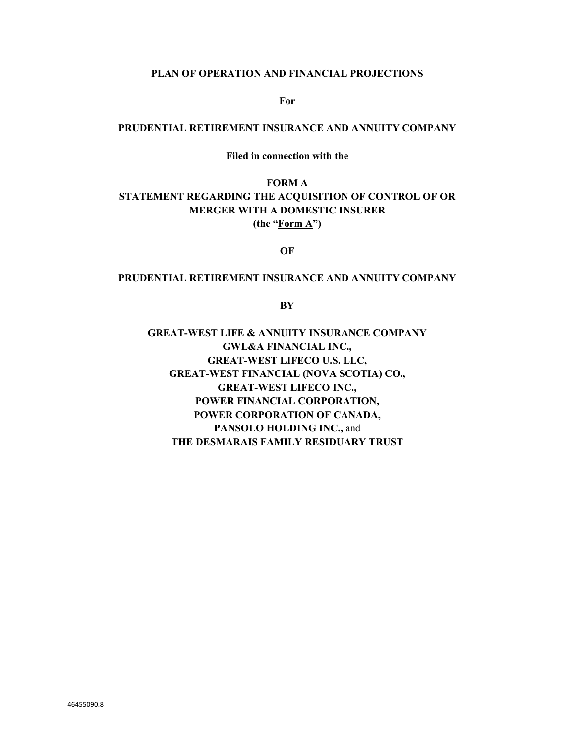#### **PLAN OF OPERATION AND FINANCIAL PROJECTIONS**

**For** 

#### **PRUDENTIAL RETIREMENT INSURANCE AND ANNUITY COMPANY**

**Filed in connection with the** 

**FORM A STATEMENT REGARDING THE ACQUISITION OF CONTROL OF OR MERGER WITH A DOMESTIC INSURER (the "Form A")** 

**OF** 

## **PRUDENTIAL RETIREMENT INSURANCE AND ANNUITY COMPANY**

**BY** 

**GREAT-WEST LIFE & ANNUITY INSURANCE COMPANY GWL&A FINANCIAL INC., GREAT-WEST LIFECO U.S. LLC, GREAT-WEST FINANCIAL (NOVA SCOTIA) CO., GREAT-WEST LIFECO INC., POWER FINANCIAL CORPORATION, POWER CORPORATION OF CANADA, PANSOLO HOLDING INC.,** and **THE DESMARAIS FAMILY RESIDUARY TRUST**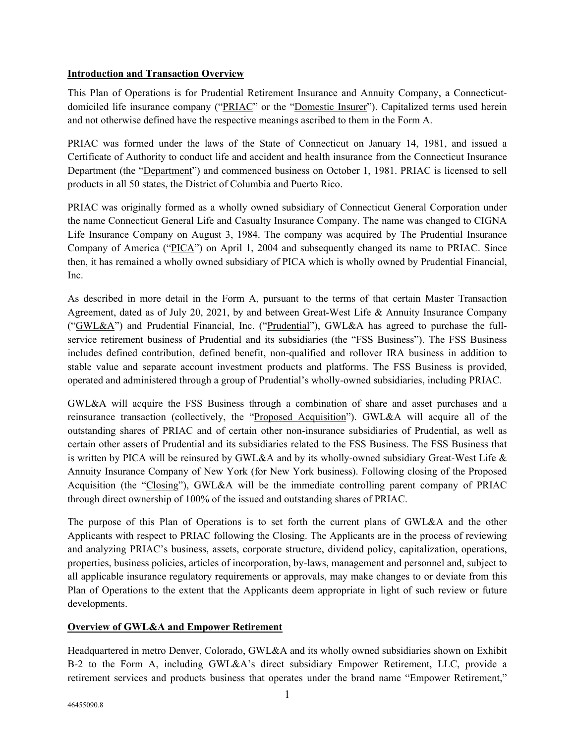## **Introduction and Transaction Overview**

This Plan of Operations is for Prudential Retirement Insurance and Annuity Company, a Connecticutdomiciled life insurance company ("PRIAC" or the "Domestic Insurer"). Capitalized terms used herein and not otherwise defined have the respective meanings ascribed to them in the Form A.

PRIAC was formed under the laws of the State of Connecticut on January 14, 1981, and issued a Certificate of Authority to conduct life and accident and health insurance from the Connecticut Insurance Department (the "Department") and commenced business on October 1, 1981. PRIAC is licensed to sell products in all 50 states, the District of Columbia and Puerto Rico.

PRIAC was originally formed as a wholly owned subsidiary of Connecticut General Corporation under the name Connecticut General Life and Casualty Insurance Company. The name was changed to CIGNA Life Insurance Company on August 3, 1984. The company was acquired by The Prudential Insurance Company of America ("PICA") on April 1, 2004 and subsequently changed its name to PRIAC. Since then, it has remained a wholly owned subsidiary of PICA which is wholly owned by Prudential Financial, Inc.

As described in more detail in the Form A, pursuant to the terms of that certain Master Transaction Agreement, dated as of July 20, 2021, by and between Great-West Life & Annuity Insurance Company ("GWL&A") and Prudential Financial, Inc. ("Prudential"), GWL&A has agreed to purchase the fullservice retirement business of Prudential and its subsidiaries (the "FSS Business"). The FSS Business includes defined contribution, defined benefit, non-qualified and rollover IRA business in addition to stable value and separate account investment products and platforms. The FSS Business is provided, operated and administered through a group of Prudential's wholly-owned subsidiaries, including PRIAC.

GWL&A will acquire the FSS Business through a combination of share and asset purchases and a reinsurance transaction (collectively, the "Proposed Acquisition"). GWL&A will acquire all of the outstanding shares of PRIAC and of certain other non-insurance subsidiaries of Prudential, as well as certain other assets of Prudential and its subsidiaries related to the FSS Business. The FSS Business that is written by PICA will be reinsured by GWL&A and by its wholly-owned subsidiary Great-West Life & Annuity Insurance Company of New York (for New York business). Following closing of the Proposed Acquisition (the "Closing"), GWL&A will be the immediate controlling parent company of PRIAC through direct ownership of 100% of the issued and outstanding shares of PRIAC.

The purpose of this Plan of Operations is to set forth the current plans of GWL&A and the other Applicants with respect to PRIAC following the Closing. The Applicants are in the process of reviewing and analyzing PRIAC's business, assets, corporate structure, dividend policy, capitalization, operations, properties, business policies, articles of incorporation, by-laws, management and personnel and, subject to all applicable insurance regulatory requirements or approvals, may make changes to or deviate from this Plan of Operations to the extent that the Applicants deem appropriate in light of such review or future developments.

# **Overview of GWL&A and Empower Retirement**

Headquartered in metro Denver, Colorado, GWL&A and its wholly owned subsidiaries shown on Exhibit B-2 to the Form A, including GWL&A's direct subsidiary Empower Retirement, LLC, provide a retirement services and products business that operates under the brand name "Empower Retirement,"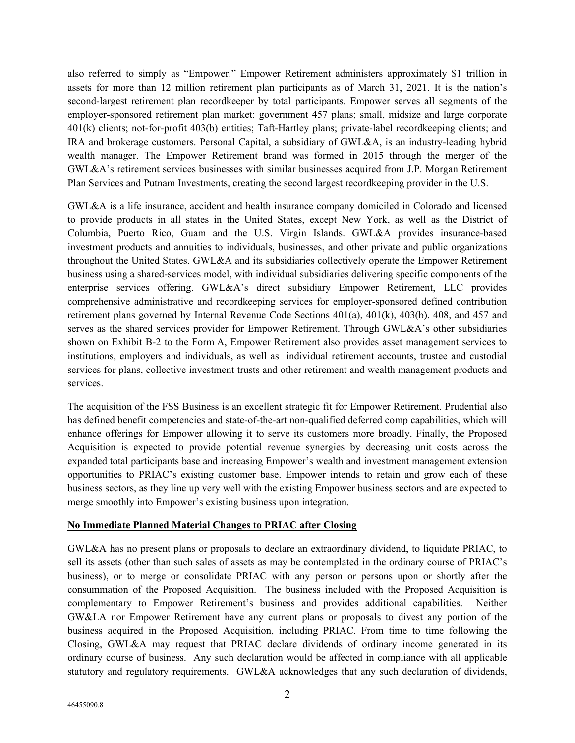also referred to simply as "Empower." Empower Retirement administers approximately \$1 trillion in assets for more than 12 million retirement plan participants as of March 31, 2021. It is the nation's second-largest retirement plan recordkeeper by total participants. Empower serves all segments of the employer-sponsored retirement plan market: government 457 plans; small, midsize and large corporate 401(k) clients; not-for-profit 403(b) entities; Taft-Hartley plans; private-label recordkeeping clients; and IRA and brokerage customers. Personal Capital, a subsidiary of GWL&A, is an industry-leading hybrid wealth manager. The Empower Retirement brand was formed in 2015 through the merger of the GWL&A's retirement services businesses with similar businesses acquired from J.P. Morgan Retirement Plan Services and Putnam Investments, creating the second largest recordkeeping provider in the U.S.

GWL&A is a life insurance, accident and health insurance company domiciled in Colorado and licensed to provide products in all states in the United States, except New York, as well as the District of Columbia, Puerto Rico, Guam and the U.S. Virgin Islands. GWL&A provides insurance-based investment products and annuities to individuals, businesses, and other private and public organizations throughout the United States. GWL&A and its subsidiaries collectively operate the Empower Retirement business using a shared-services model, with individual subsidiaries delivering specific components of the enterprise services offering. GWL&A's direct subsidiary Empower Retirement, LLC provides comprehensive administrative and recordkeeping services for employer-sponsored defined contribution retirement plans governed by Internal Revenue Code Sections 401(a), 401(k), 403(b), 408, and 457 and serves as the shared services provider for Empower Retirement. Through GWL&A's other subsidiaries shown on Exhibit B-2 to the Form A, Empower Retirement also provides asset management services to institutions, employers and individuals, as well as individual retirement accounts, trustee and custodial services for plans, collective investment trusts and other retirement and wealth management products and services.

The acquisition of the FSS Business is an excellent strategic fit for Empower Retirement. Prudential also has defined benefit competencies and state-of-the-art non-qualified deferred comp capabilities, which will enhance offerings for Empower allowing it to serve its customers more broadly. Finally, the Proposed Acquisition is expected to provide potential revenue synergies by decreasing unit costs across the expanded total participants base and increasing Empower's wealth and investment management extension opportunities to PRIAC's existing customer base. Empower intends to retain and grow each of these business sectors, as they line up very well with the existing Empower business sectors and are expected to merge smoothly into Empower's existing business upon integration.

#### **No Immediate Planned Material Changes to PRIAC after Closing**

GWL&A has no present plans or proposals to declare an extraordinary dividend, to liquidate PRIAC, to sell its assets (other than such sales of assets as may be contemplated in the ordinary course of PRIAC's business), or to merge or consolidate PRIAC with any person or persons upon or shortly after the consummation of the Proposed Acquisition. The business included with the Proposed Acquisition is complementary to Empower Retirement's business and provides additional capabilities. Neither GW&LA nor Empower Retirement have any current plans or proposals to divest any portion of the business acquired in the Proposed Acquisition, including PRIAC. From time to time following the Closing, GWL&A may request that PRIAC declare dividends of ordinary income generated in its ordinary course of business. Any such declaration would be affected in compliance with all applicable statutory and regulatory requirements. GWL&A acknowledges that any such declaration of dividends,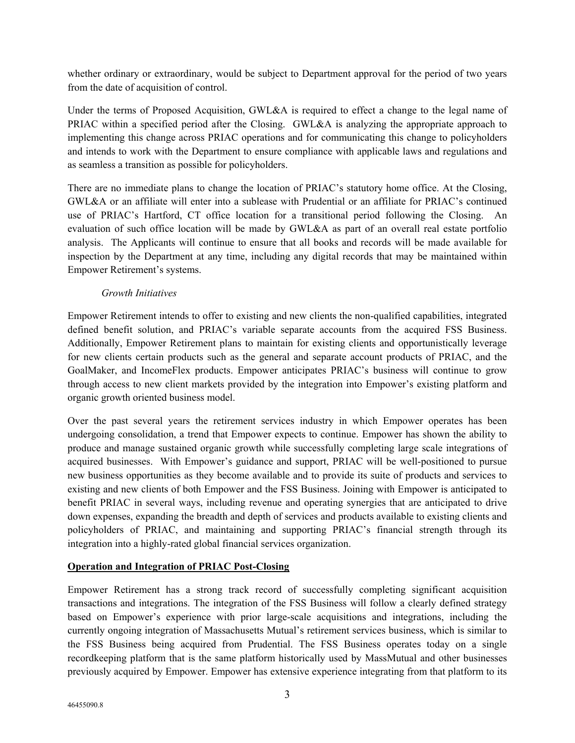whether ordinary or extraordinary, would be subject to Department approval for the period of two years from the date of acquisition of control.

Under the terms of Proposed Acquisition, GWL&A is required to effect a change to the legal name of PRIAC within a specified period after the Closing. GWL&A is analyzing the appropriate approach to implementing this change across PRIAC operations and for communicating this change to policyholders and intends to work with the Department to ensure compliance with applicable laws and regulations and as seamless a transition as possible for policyholders.

There are no immediate plans to change the location of PRIAC's statutory home office. At the Closing, GWL&A or an affiliate will enter into a sublease with Prudential or an affiliate for PRIAC's continued use of PRIAC's Hartford, CT office location for a transitional period following the Closing. An evaluation of such office location will be made by GWL&A as part of an overall real estate portfolio analysis. The Applicants will continue to ensure that all books and records will be made available for inspection by the Department at any time, including any digital records that may be maintained within Empower Retirement's systems.

## *Growth Initiatives*

Empower Retirement intends to offer to existing and new clients the non-qualified capabilities, integrated defined benefit solution, and PRIAC's variable separate accounts from the acquired FSS Business. Additionally, Empower Retirement plans to maintain for existing clients and opportunistically leverage for new clients certain products such as the general and separate account products of PRIAC, and the GoalMaker, and IncomeFlex products. Empower anticipates PRIAC's business will continue to grow through access to new client markets provided by the integration into Empower's existing platform and organic growth oriented business model.

Over the past several years the retirement services industry in which Empower operates has been undergoing consolidation, a trend that Empower expects to continue. Empower has shown the ability to produce and manage sustained organic growth while successfully completing large scale integrations of acquired businesses. With Empower's guidance and support, PRIAC will be well-positioned to pursue new business opportunities as they become available and to provide its suite of products and services to existing and new clients of both Empower and the FSS Business. Joining with Empower is anticipated to benefit PRIAC in several ways, including revenue and operating synergies that are anticipated to drive down expenses, expanding the breadth and depth of services and products available to existing clients and policyholders of PRIAC, and maintaining and supporting PRIAC's financial strength through its integration into a highly-rated global financial services organization.

# **Operation and Integration of PRIAC Post-Closing**

Empower Retirement has a strong track record of successfully completing significant acquisition transactions and integrations. The integration of the FSS Business will follow a clearly defined strategy based on Empower's experience with prior large-scale acquisitions and integrations, including the currently ongoing integration of Massachusetts Mutual's retirement services business, which is similar to the FSS Business being acquired from Prudential. The FSS Business operates today on a single recordkeeping platform that is the same platform historically used by MassMutual and other businesses previously acquired by Empower. Empower has extensive experience integrating from that platform to its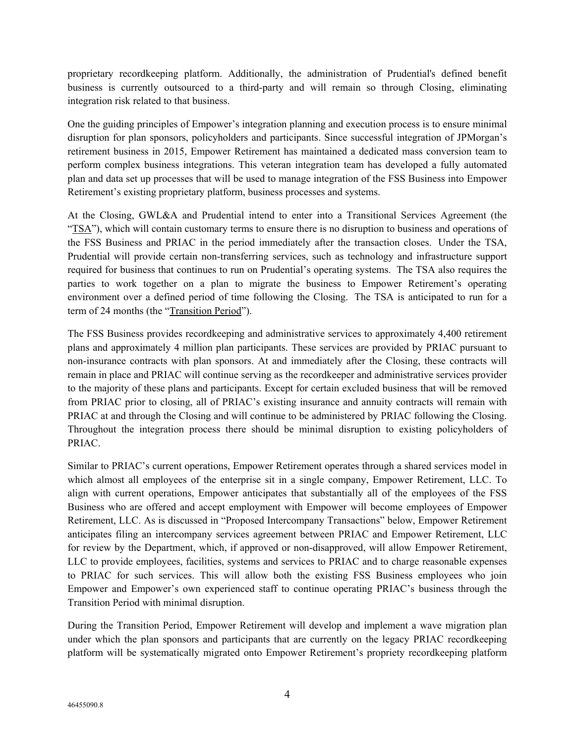proprietary recordkeeping platform. Additionally, the administration of Prudential's defined benefit business is currently outsourced to a third-party and will remain so through Closing, eliminating integration risk related to that business.

One the guiding principles of Empower's integration planning and execution process is to ensure minimal disruption for plan sponsors, policyholders and participants. Since successful integration of JPMorgan's retirement business in 2015, Empower Retirement has maintained a dedicated mass conversion team to perform complex business integrations. This veteran integration team has developed a fully automated plan and data set up processes that will be used to manage integration of the FSS Business into Empower Retirement's existing proprietary platform, business processes and systems.

At the Closing, GWL&A and Prudential intend to enter into a Transitional Services Agreement (the "TSA"), which will contain customary terms to ensure there is no disruption to business and operations of the FSS Business and PRIAC in the period immediately after the transaction closes. Under the TSA, Prudential will provide certain non-transferring services, such as technology and infrastructure support required for business that continues to run on Prudential's operating systems. The TSA also requires the parties to work together on a plan to migrate the business to Empower Retirement's operating environment over a defined period of time following the Closing. The TSA is anticipated to run for a term of 24 months (the "Transition Period").

The FSS Business provides recordkeeping and administrative services to approximately 4,400 retirement plans and approximately 4 million plan participants. These services are provided by PRIAC pursuant to non-insurance contracts with plan sponsors. At and immediately after the Closing, these contracts will remain in place and PRIAC will continue serving as the recordkeeper and administrative services provider to the majority of these plans and participants. Except for certain excluded business that will be removed from PRIAC prior to closing, all of PRIAC's existing insurance and annuity contracts will remain with PRIAC at and through the Closing and will continue to be administered by PRIAC following the Closing. Throughout the integration process there should be minimal disruption to existing policyholders of PRIAC.

Similar to PRIAC's current operations, Empower Retirement operates through a shared services model in which almost all employees of the enterprise sit in a single company, Empower Retirement, LLC. To align with current operations, Empower anticipates that substantially all of the employees of the FSS Business who are offered and accept employment with Empower will become employees of Empower Retirement, LLC. As is discussed in "Proposed Intercompany Transactions" below, Empower Retirement anticipates filing an intercompany services agreement between PRIAC and Empower Retirement, LLC for review by the Department, which, if approved or non-disapproved, will allow Empower Retirement, LLC to provide employees, facilities, systems and services to PRIAC and to charge reasonable expenses to PRIAC for such services. This will allow both the existing FSS Business employees who join Empower and Empower's own experienced staff to continue operating PRIAC's business through the Transition Period with minimal disruption.

During the Transition Period, Empower Retirement will develop and implement a wave migration plan under which the plan sponsors and participants that are currently on the legacy PRIAC recordkeeping platform will be systematically migrated onto Empower Retirement's propriety recordkeeping platform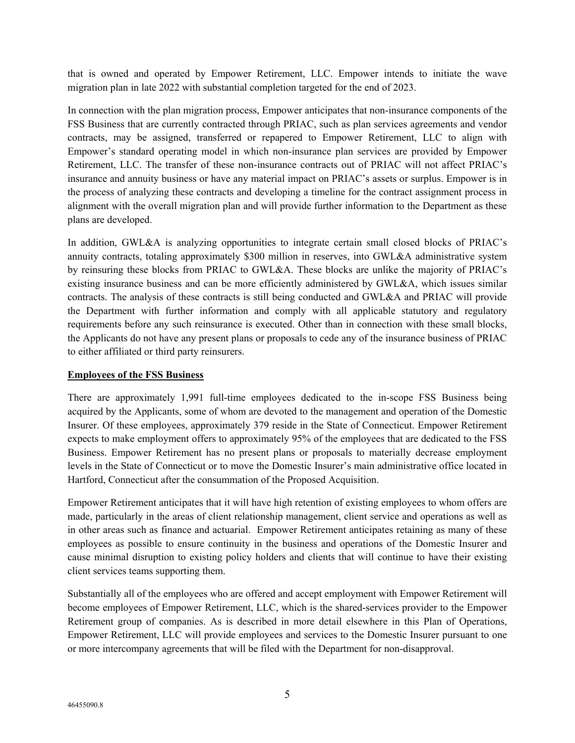that is owned and operated by Empower Retirement, LLC. Empower intends to initiate the wave migration plan in late 2022 with substantial completion targeted for the end of 2023.

In connection with the plan migration process, Empower anticipates that non-insurance components of the FSS Business that are currently contracted through PRIAC, such as plan services agreements and vendor contracts, may be assigned, transferred or repapered to Empower Retirement, LLC to align with Empower's standard operating model in which non-insurance plan services are provided by Empower Retirement, LLC. The transfer of these non-insurance contracts out of PRIAC will not affect PRIAC's insurance and annuity business or have any material impact on PRIAC's assets or surplus. Empower is in the process of analyzing these contracts and developing a timeline for the contract assignment process in alignment with the overall migration plan and will provide further information to the Department as these plans are developed.

In addition, GWL&A is analyzing opportunities to integrate certain small closed blocks of PRIAC's annuity contracts, totaling approximately \$300 million in reserves, into GWL&A administrative system by reinsuring these blocks from PRIAC to GWL&A. These blocks are unlike the majority of PRIAC's existing insurance business and can be more efficiently administered by GWL&A, which issues similar contracts. The analysis of these contracts is still being conducted and GWL&A and PRIAC will provide the Department with further information and comply with all applicable statutory and regulatory requirements before any such reinsurance is executed. Other than in connection with these small blocks, the Applicants do not have any present plans or proposals to cede any of the insurance business of PRIAC to either affiliated or third party reinsurers.

#### **Employees of the FSS Business**

There are approximately 1,991 full-time employees dedicated to the in-scope FSS Business being acquired by the Applicants, some of whom are devoted to the management and operation of the Domestic Insurer. Of these employees, approximately 379 reside in the State of Connecticut. Empower Retirement expects to make employment offers to approximately 95% of the employees that are dedicated to the FSS Business. Empower Retirement has no present plans or proposals to materially decrease employment levels in the State of Connecticut or to move the Domestic Insurer's main administrative office located in Hartford, Connecticut after the consummation of the Proposed Acquisition.

Empower Retirement anticipates that it will have high retention of existing employees to whom offers are made, particularly in the areas of client relationship management, client service and operations as well as in other areas such as finance and actuarial. Empower Retirement anticipates retaining as many of these employees as possible to ensure continuity in the business and operations of the Domestic Insurer and cause minimal disruption to existing policy holders and clients that will continue to have their existing client services teams supporting them.

Substantially all of the employees who are offered and accept employment with Empower Retirement will become employees of Empower Retirement, LLC, which is the shared-services provider to the Empower Retirement group of companies. As is described in more detail elsewhere in this Plan of Operations, Empower Retirement, LLC will provide employees and services to the Domestic Insurer pursuant to one or more intercompany agreements that will be filed with the Department for non-disapproval.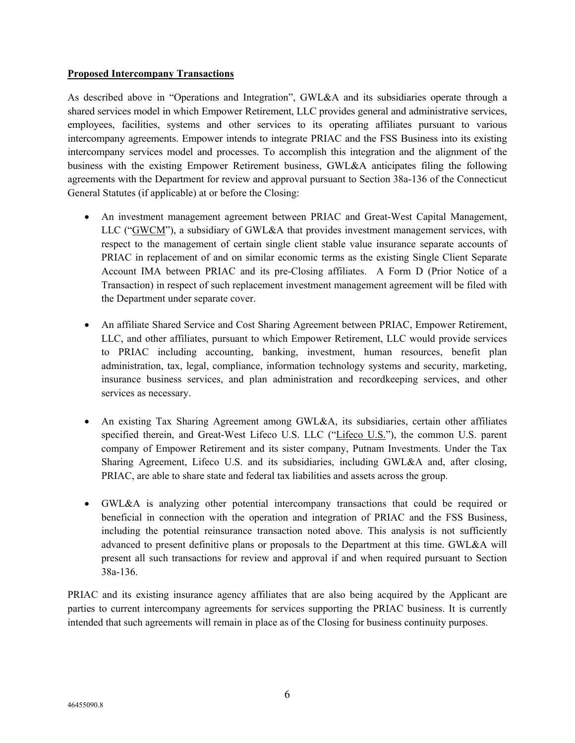#### **Proposed Intercompany Transactions**

As described above in "Operations and Integration", GWL&A and its subsidiaries operate through a shared services model in which Empower Retirement, LLC provides general and administrative services, employees, facilities, systems and other services to its operating affiliates pursuant to various intercompany agreements. Empower intends to integrate PRIAC and the FSS Business into its existing intercompany services model and processes. To accomplish this integration and the alignment of the business with the existing Empower Retirement business, GWL&A anticipates filing the following agreements with the Department for review and approval pursuant to Section 38a-136 of the Connecticut General Statutes (if applicable) at or before the Closing:

- An investment management agreement between PRIAC and Great-West Capital Management, LLC ("GWCM"), a subsidiary of GWL&A that provides investment management services, with respect to the management of certain single client stable value insurance separate accounts of PRIAC in replacement of and on similar economic terms as the existing Single Client Separate Account IMA between PRIAC and its pre-Closing affiliates. A Form D (Prior Notice of a Transaction) in respect of such replacement investment management agreement will be filed with the Department under separate cover.
- An affiliate Shared Service and Cost Sharing Agreement between PRIAC, Empower Retirement, LLC, and other affiliates, pursuant to which Empower Retirement, LLC would provide services to PRIAC including accounting, banking, investment, human resources, benefit plan administration, tax, legal, compliance, information technology systems and security, marketing, insurance business services, and plan administration and recordkeeping services, and other services as necessary.
- An existing Tax Sharing Agreement among GWL&A, its subsidiaries, certain other affiliates specified therein, and Great-West Lifeco U.S. LLC ("Lifeco U.S."), the common U.S. parent company of Empower Retirement and its sister company, Putnam Investments. Under the Tax Sharing Agreement, Lifeco U.S. and its subsidiaries, including GWL&A and, after closing, PRIAC, are able to share state and federal tax liabilities and assets across the group.
- GWL&A is analyzing other potential intercompany transactions that could be required or beneficial in connection with the operation and integration of PRIAC and the FSS Business, including the potential reinsurance transaction noted above. This analysis is not sufficiently advanced to present definitive plans or proposals to the Department at this time. GWL&A will present all such transactions for review and approval if and when required pursuant to Section 38a-136.

PRIAC and its existing insurance agency affiliates that are also being acquired by the Applicant are parties to current intercompany agreements for services supporting the PRIAC business. It is currently intended that such agreements will remain in place as of the Closing for business continuity purposes.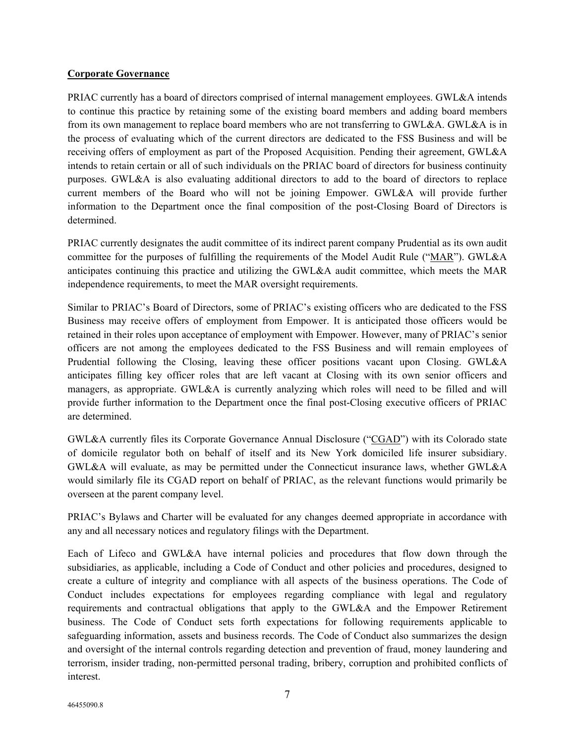#### **Corporate Governance**

PRIAC currently has a board of directors comprised of internal management employees. GWL&A intends to continue this practice by retaining some of the existing board members and adding board members from its own management to replace board members who are not transferring to GWL&A. GWL&A is in the process of evaluating which of the current directors are dedicated to the FSS Business and will be receiving offers of employment as part of the Proposed Acquisition. Pending their agreement, GWL&A intends to retain certain or all of such individuals on the PRIAC board of directors for business continuity purposes. GWL&A is also evaluating additional directors to add to the board of directors to replace current members of the Board who will not be joining Empower. GWL&A will provide further information to the Department once the final composition of the post-Closing Board of Directors is determined.

PRIAC currently designates the audit committee of its indirect parent company Prudential as its own audit committee for the purposes of fulfilling the requirements of the Model Audit Rule ("MAR"). GWL&A anticipates continuing this practice and utilizing the GWL&A audit committee, which meets the MAR independence requirements, to meet the MAR oversight requirements.

Similar to PRIAC's Board of Directors, some of PRIAC's existing officers who are dedicated to the FSS Business may receive offers of employment from Empower. It is anticipated those officers would be retained in their roles upon acceptance of employment with Empower. However, many of PRIAC's senior officers are not among the employees dedicated to the FSS Business and will remain employees of Prudential following the Closing, leaving these officer positions vacant upon Closing. GWL&A anticipates filling key officer roles that are left vacant at Closing with its own senior officers and managers, as appropriate. GWL&A is currently analyzing which roles will need to be filled and will provide further information to the Department once the final post-Closing executive officers of PRIAC are determined.

GWL&A currently files its Corporate Governance Annual Disclosure ("CGAD") with its Colorado state of domicile regulator both on behalf of itself and its New York domiciled life insurer subsidiary. GWL&A will evaluate, as may be permitted under the Connecticut insurance laws, whether GWL&A would similarly file its CGAD report on behalf of PRIAC, as the relevant functions would primarily be overseen at the parent company level.

PRIAC's Bylaws and Charter will be evaluated for any changes deemed appropriate in accordance with any and all necessary notices and regulatory filings with the Department.

Each of Lifeco and GWL&A have internal policies and procedures that flow down through the subsidiaries, as applicable, including a Code of Conduct and other policies and procedures, designed to create a culture of integrity and compliance with all aspects of the business operations. The Code of Conduct includes expectations for employees regarding compliance with legal and regulatory requirements and contractual obligations that apply to the GWL&A and the Empower Retirement business. The Code of Conduct sets forth expectations for following requirements applicable to safeguarding information, assets and business records. The Code of Conduct also summarizes the design and oversight of the internal controls regarding detection and prevention of fraud, money laundering and terrorism, insider trading, non-permitted personal trading, bribery, corruption and prohibited conflicts of interest.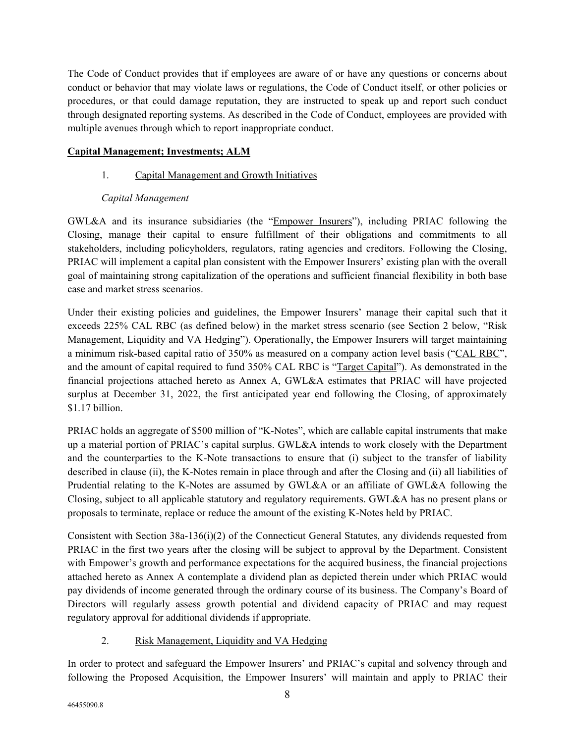The Code of Conduct provides that if employees are aware of or have any questions or concerns about conduct or behavior that may violate laws or regulations, the Code of Conduct itself, or other policies or procedures, or that could damage reputation, they are instructed to speak up and report such conduct through designated reporting systems. As described in the Code of Conduct, employees are provided with multiple avenues through which to report inappropriate conduct.

# **Capital Management; Investments; ALM**

# 1. Capital Management and Growth Initiatives

# *Capital Management*

GWL&A and its insurance subsidiaries (the "Empower Insurers"), including PRIAC following the Closing, manage their capital to ensure fulfillment of their obligations and commitments to all stakeholders, including policyholders, regulators, rating agencies and creditors. Following the Closing, PRIAC will implement a capital plan consistent with the Empower Insurers' existing plan with the overall goal of maintaining strong capitalization of the operations and sufficient financial flexibility in both base case and market stress scenarios.

Under their existing policies and guidelines, the Empower Insurers' manage their capital such that it exceeds 225% CAL RBC (as defined below) in the market stress scenario (see Section 2 below, "Risk Management, Liquidity and VA Hedging"). Operationally, the Empower Insurers will target maintaining a minimum risk-based capital ratio of 350% as measured on a company action level basis ("CAL RBC", and the amount of capital required to fund 350% CAL RBC is "Target Capital"). As demonstrated in the financial projections attached hereto as Annex A, GWL&A estimates that PRIAC will have projected surplus at December 31, 2022, the first anticipated year end following the Closing, of approximately \$1.17 billion.

PRIAC holds an aggregate of \$500 million of "K-Notes", which are callable capital instruments that make up a material portion of PRIAC's capital surplus. GWL&A intends to work closely with the Department and the counterparties to the K-Note transactions to ensure that (i) subject to the transfer of liability described in clause (ii), the K-Notes remain in place through and after the Closing and (ii) all liabilities of Prudential relating to the K-Notes are assumed by GWL&A or an affiliate of GWL&A following the Closing, subject to all applicable statutory and regulatory requirements. GWL&A has no present plans or proposals to terminate, replace or reduce the amount of the existing K-Notes held by PRIAC.

Consistent with Section 38a-136(i)(2) of the Connecticut General Statutes, any dividends requested from PRIAC in the first two years after the closing will be subject to approval by the Department. Consistent with Empower's growth and performance expectations for the acquired business, the financial projections attached hereto as Annex A contemplate a dividend plan as depicted therein under which PRIAC would pay dividends of income generated through the ordinary course of its business. The Company's Board of Directors will regularly assess growth potential and dividend capacity of PRIAC and may request regulatory approval for additional dividends if appropriate.

# 2. Risk Management, Liquidity and VA Hedging

In order to protect and safeguard the Empower Insurers' and PRIAC's capital and solvency through and following the Proposed Acquisition, the Empower Insurers' will maintain and apply to PRIAC their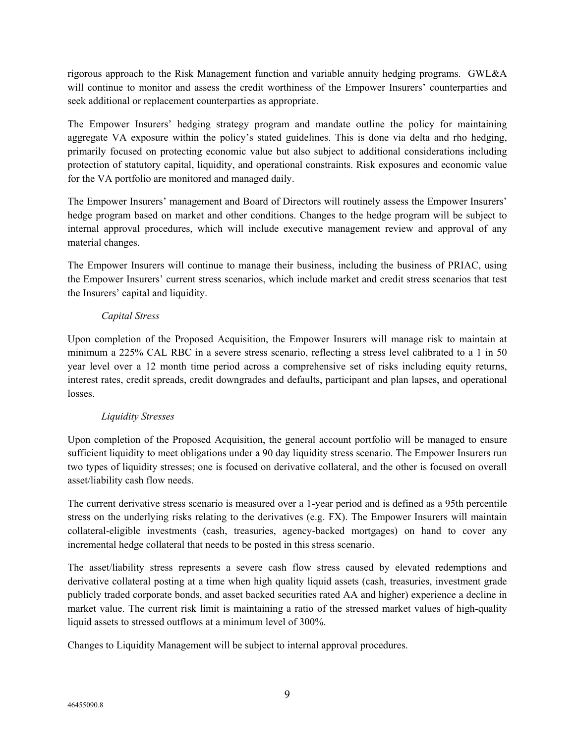rigorous approach to the Risk Management function and variable annuity hedging programs. GWL&A will continue to monitor and assess the credit worthiness of the Empower Insurers' counterparties and seek additional or replacement counterparties as appropriate.

The Empower Insurers' hedging strategy program and mandate outline the policy for maintaining aggregate VA exposure within the policy's stated guidelines. This is done via delta and rho hedging, primarily focused on protecting economic value but also subject to additional considerations including protection of statutory capital, liquidity, and operational constraints. Risk exposures and economic value for the VA portfolio are monitored and managed daily.

The Empower Insurers' management and Board of Directors will routinely assess the Empower Insurers' hedge program based on market and other conditions. Changes to the hedge program will be subject to internal approval procedures, which will include executive management review and approval of any material changes.

The Empower Insurers will continue to manage their business, including the business of PRIAC, using the Empower Insurers' current stress scenarios, which include market and credit stress scenarios that test the Insurers' capital and liquidity.

# *Capital Stress*

Upon completion of the Proposed Acquisition, the Empower Insurers will manage risk to maintain at minimum a 225% CAL RBC in a severe stress scenario, reflecting a stress level calibrated to a 1 in 50 year level over a 12 month time period across a comprehensive set of risks including equity returns, interest rates, credit spreads, credit downgrades and defaults, participant and plan lapses, and operational losses.

# *Liquidity Stresses*

Upon completion of the Proposed Acquisition, the general account portfolio will be managed to ensure sufficient liquidity to meet obligations under a 90 day liquidity stress scenario. The Empower Insurers run two types of liquidity stresses; one is focused on derivative collateral, and the other is focused on overall asset/liability cash flow needs.

The current derivative stress scenario is measured over a 1-year period and is defined as a 95th percentile stress on the underlying risks relating to the derivatives (e.g. FX). The Empower Insurers will maintain collateral-eligible investments (cash, treasuries, agency-backed mortgages) on hand to cover any incremental hedge collateral that needs to be posted in this stress scenario.

The asset/liability stress represents a severe cash flow stress caused by elevated redemptions and derivative collateral posting at a time when high quality liquid assets (cash, treasuries, investment grade publicly traded corporate bonds, and asset backed securities rated AA and higher) experience a decline in market value. The current risk limit is maintaining a ratio of the stressed market values of high-quality liquid assets to stressed outflows at a minimum level of 300%.

Changes to Liquidity Management will be subject to internal approval procedures.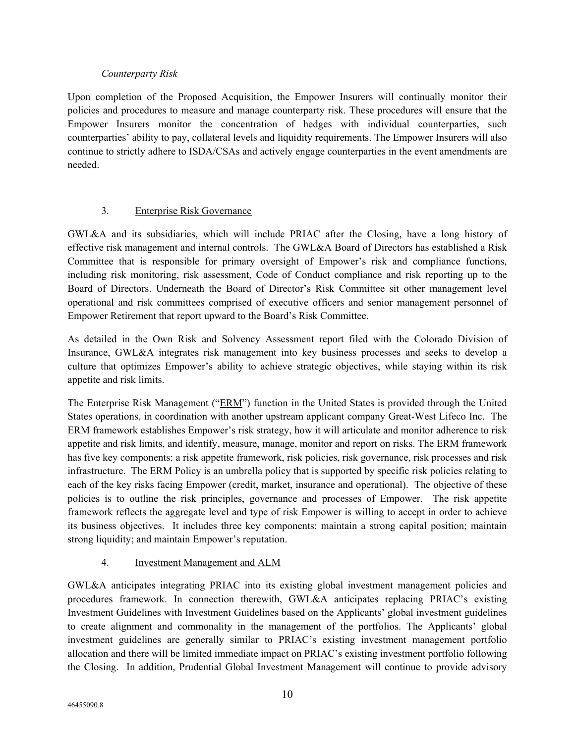# *Counterparty Risk*

Upon completion of the Proposed Acquisition, the Empower Insurers will continually monitor their policies and procedures to measure and manage counterparty risk. These procedures will ensure that the Empower Insurers monitor the concentration of hedges with individual counterparties, such counterparties' ability to pay, collateral levels and liquidity requirements. The Empower Insurers will also continue to strictly adhere to ISDA/CSAs and actively engage counterparties in the event amendments are needed.

# 3. Enterprise Risk Governance

GWL&A and its subsidiaries, which will include PRIAC after the Closing, have a long history of effective risk management and internal controls. The GWL&A Board of Directors has established a Risk Committee that is responsible for primary oversight of Empower's risk and compliance functions, including risk monitoring, risk assessment, Code of Conduct compliance and risk reporting up to the Board of Directors. Underneath the Board of Director's Risk Committee sit other management level operational and risk committees comprised of executive officers and senior management personnel of Empower Retirement that report upward to the Board's Risk Committee.

As detailed in the Own Risk and Solvency Assessment report filed with the Colorado Division of Insurance, GWL&A integrates risk management into key business processes and seeks to develop a culture that optimizes Empower's ability to achieve strategic objectives, while staying within its risk appetite and risk limits.

The Enterprise Risk Management ("ERM") function in the United States is provided through the United States operations, in coordination with another upstream applicant company Great-West Lifeco Inc. The ERM framework establishes Empower's risk strategy, how it will articulate and monitor adherence to risk appetite and risk limits, and identify, measure, manage, monitor and report on risks. The ERM framework has five key components: a risk appetite framework, risk policies, risk governance, risk processes and risk infrastructure. The ERM Policy is an umbrella policy that is supported by specific risk policies relating to each of the key risks facing Empower (credit, market, insurance and operational). The objective of these policies is to outline the risk principles, governance and processes of Empower. The risk appetite framework reflects the aggregate level and type of risk Empower is willing to accept in order to achieve its business objectives. It includes three key components: maintain a strong capital position; maintain strong liquidity; and maintain Empower's reputation.

# 4. Investment Management and ALM

GWL&A anticipates integrating PRIAC into its existing global investment management policies and procedures framework. In connection therewith, GWL&A anticipates replacing PRIAC's existing Investment Guidelines with Investment Guidelines based on the Applicants' global investment guidelines to create alignment and commonality in the management of the portfolios. The Applicants' global investment guidelines are generally similar to PRIAC's existing investment management portfolio allocation and there will be limited immediate impact on PRIAC's existing investment portfolio following the Closing. In addition, Prudential Global Investment Management will continue to provide advisory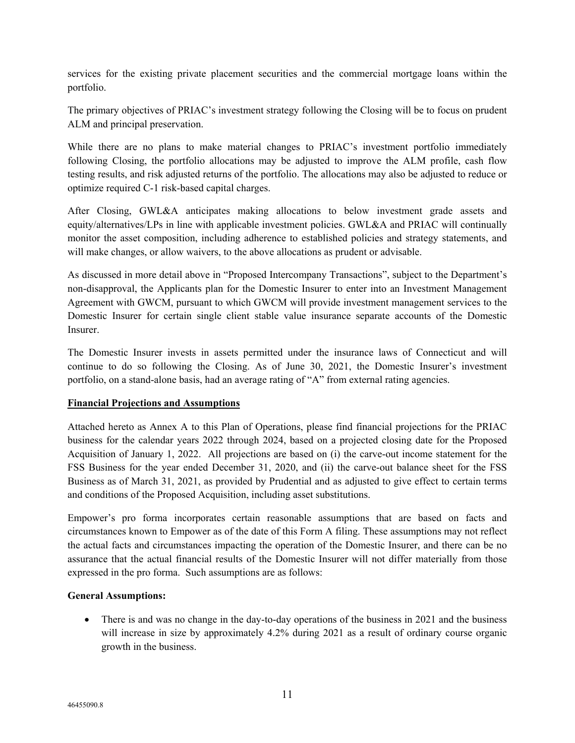services for the existing private placement securities and the commercial mortgage loans within the portfolio.

The primary objectives of PRIAC's investment strategy following the Closing will be to focus on prudent ALM and principal preservation.

While there are no plans to make material changes to PRIAC's investment portfolio immediately following Closing, the portfolio allocations may be adjusted to improve the ALM profile, cash flow testing results, and risk adjusted returns of the portfolio. The allocations may also be adjusted to reduce or optimize required C-1 risk-based capital charges.

After Closing, GWL&A anticipates making allocations to below investment grade assets and equity/alternatives/LPs in line with applicable investment policies. GWL&A and PRIAC will continually monitor the asset composition, including adherence to established policies and strategy statements, and will make changes, or allow waivers, to the above allocations as prudent or advisable.

As discussed in more detail above in "Proposed Intercompany Transactions", subject to the Department's non-disapproval, the Applicants plan for the Domestic Insurer to enter into an Investment Management Agreement with GWCM, pursuant to which GWCM will provide investment management services to the Domestic Insurer for certain single client stable value insurance separate accounts of the Domestic Insurer.

The Domestic Insurer invests in assets permitted under the insurance laws of Connecticut and will continue to do so following the Closing. As of June 30, 2021, the Domestic Insurer's investment portfolio, on a stand-alone basis, had an average rating of "A" from external rating agencies.

# **Financial Projections and Assumptions**

Attached hereto as Annex A to this Plan of Operations, please find financial projections for the PRIAC business for the calendar years 2022 through 2024, based on a projected closing date for the Proposed Acquisition of January 1, 2022. All projections are based on (i) the carve-out income statement for the FSS Business for the year ended December 31, 2020, and (ii) the carve-out balance sheet for the FSS Business as of March 31, 2021, as provided by Prudential and as adjusted to give effect to certain terms and conditions of the Proposed Acquisition, including asset substitutions.

Empower's pro forma incorporates certain reasonable assumptions that are based on facts and circumstances known to Empower as of the date of this Form A filing. These assumptions may not reflect the actual facts and circumstances impacting the operation of the Domestic Insurer, and there can be no assurance that the actual financial results of the Domestic Insurer will not differ materially from those expressed in the pro forma. Such assumptions are as follows:

#### **General Assumptions:**

• There is and was no change in the day-to-day operations of the business in 2021 and the business will increase in size by approximately 4.2% during 2021 as a result of ordinary course organic growth in the business.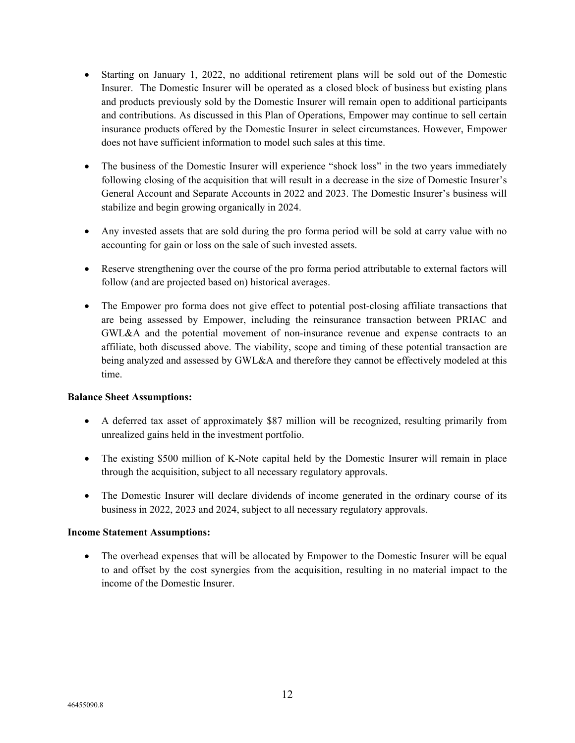- Starting on January 1, 2022, no additional retirement plans will be sold out of the Domestic Insurer. The Domestic Insurer will be operated as a closed block of business but existing plans and products previously sold by the Domestic Insurer will remain open to additional participants and contributions. As discussed in this Plan of Operations, Empower may continue to sell certain insurance products offered by the Domestic Insurer in select circumstances. However, Empower does not have sufficient information to model such sales at this time.
- The business of the Domestic Insurer will experience "shock loss" in the two years immediately following closing of the acquisition that will result in a decrease in the size of Domestic Insurer's General Account and Separate Accounts in 2022 and 2023. The Domestic Insurer's business will stabilize and begin growing organically in 2024.
- Any invested assets that are sold during the pro forma period will be sold at carry value with no accounting for gain or loss on the sale of such invested assets.
- Reserve strengthening over the course of the pro forma period attributable to external factors will follow (and are projected based on) historical averages.
- The Empower pro forma does not give effect to potential post-closing affiliate transactions that are being assessed by Empower, including the reinsurance transaction between PRIAC and GWL&A and the potential movement of non-insurance revenue and expense contracts to an affiliate, both discussed above. The viability, scope and timing of these potential transaction are being analyzed and assessed by GWL&A and therefore they cannot be effectively modeled at this time.

#### **Balance Sheet Assumptions:**

- A deferred tax asset of approximately \$87 million will be recognized, resulting primarily from unrealized gains held in the investment portfolio.
- The existing \$500 million of K-Note capital held by the Domestic Insurer will remain in place through the acquisition, subject to all necessary regulatory approvals.
- The Domestic Insurer will declare dividends of income generated in the ordinary course of its business in 2022, 2023 and 2024, subject to all necessary regulatory approvals.

#### **Income Statement Assumptions:**

• The overhead expenses that will be allocated by Empower to the Domestic Insurer will be equal to and offset by the cost synergies from the acquisition, resulting in no material impact to the income of the Domestic Insurer.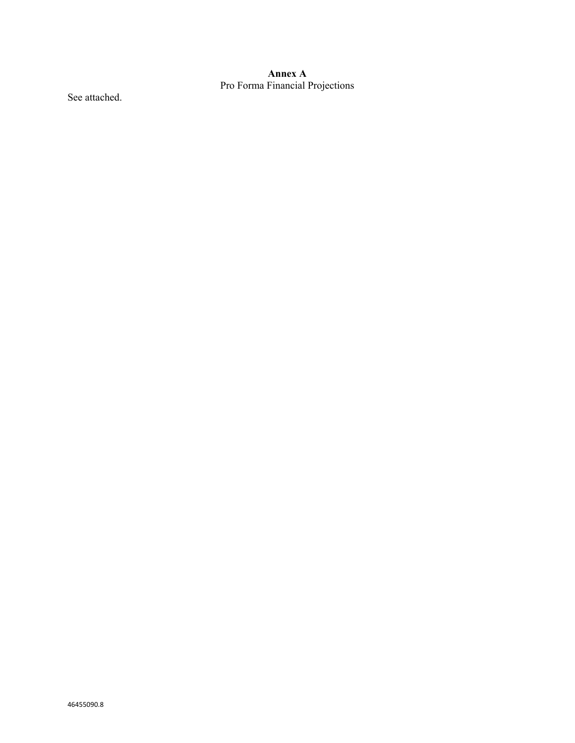#### **Annex A** Pro Forma Financial Projections

See attached.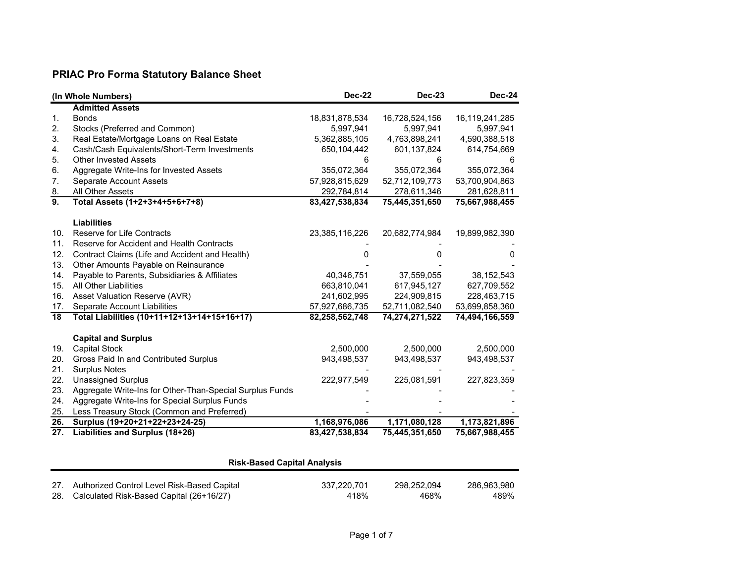# **PRIAC Pro Forma Statutory Balance Sheet**

|                  | (In Whole Numbers)                                       | <b>Dec-22</b>  | <b>Dec-23</b>  | <b>Dec-24</b>  |
|------------------|----------------------------------------------------------|----------------|----------------|----------------|
|                  | <b>Admitted Assets</b>                                   |                |                |                |
| 1.               | <b>Bonds</b>                                             | 18,831,878,534 | 16,728,524,156 | 16,119,241,285 |
| 2.               | Stocks (Preferred and Common)                            | 5,997,941      | 5,997,941      | 5,997,941      |
| 3.               | Real Estate/Mortgage Loans on Real Estate                | 5,362,885,105  | 4,763,898,241  | 4,590,388,518  |
| 4.               | Cash/Cash Equivalents/Short-Term Investments             | 650,104,442    | 601,137,824    | 614,754,669    |
| 5.               | <b>Other Invested Assets</b>                             | 6              | 6              |                |
| 6.               | Aggregate Write-Ins for Invested Assets                  | 355,072,364    | 355,072,364    | 355,072,364    |
| 7.               | Separate Account Assets                                  | 57,928,815,629 | 52,712,109,773 | 53,700,904,863 |
| 8.               | All Other Assets                                         | 292,784,814    | 278,611,346    | 281,628,811    |
| $\overline{9}$ . | Total Assets (1+2+3+4+5+6+7+8)                           | 83,427,538,834 | 75,445,351,650 | 75,667,988,455 |
|                  |                                                          |                |                |                |
|                  | <b>Liabilities</b>                                       |                |                |                |
| 10.              | <b>Reserve for Life Contracts</b>                        | 23,385,116,226 | 20,682,774,984 | 19,899,982,390 |
| 11.              | Reserve for Accident and Health Contracts                |                |                |                |
| 12.              | Contract Claims (Life and Accident and Health)           |                |                |                |
| 13.              | Other Amounts Payable on Reinsurance                     |                |                |                |
| 14.              | Payable to Parents, Subsidiaries & Affiliates            | 40,346,751     | 37,559,055     | 38, 152, 543   |
| 15.              | <b>All Other Liabilities</b>                             | 663,810,041    | 617,945,127    | 627,709,552    |
| 16.              | Asset Valuation Reserve (AVR)                            | 241,602,995    | 224,909,815    | 228,463,715    |
| 17.              | Separate Account Liabilities                             | 57,927,686,735 | 52,711,082,540 | 53,699,858,360 |
| 18               | Total Liabilities (10+11+12+13+14+15+16+17)              | 82,258,562,748 | 74,274,271,522 | 74,494,166,559 |
|                  | <b>Capital and Surplus</b>                               |                |                |                |
| 19.              | <b>Capital Stock</b>                                     | 2,500,000      | 2,500,000      | 2,500,000      |
| 20.              | Gross Paid In and Contributed Surplus                    | 943,498,537    | 943,498,537    | 943,498,537    |
| 21.              | <b>Surplus Notes</b>                                     |                |                |                |
| 22.              | <b>Unassigned Surplus</b>                                | 222,977,549    | 225,081,591    | 227,823,359    |
| 23.              | Aggregate Write-Ins for Other-Than-Special Surplus Funds |                |                |                |
| 24.              | Aggregate Write-Ins for Special Surplus Funds            |                |                |                |
| 25.              | Less Treasury Stock (Common and Preferred)               |                |                |                |
| 26.              | Surplus (19+20+21+22+23+24-25)                           | 1,168,976,086  | 1,171,080,128  | 1,173,821,896  |
| 27.              | Liabilities and Surplus (18+26)                          | 83,427,538,834 | 75,445,351,650 | 75,667,988,455 |

|     | <b>Risk-Based Capital Analysis</b>              |             |             |             |  |  |  |  |  |  |  |
|-----|-------------------------------------------------|-------------|-------------|-------------|--|--|--|--|--|--|--|
|     |                                                 |             |             |             |  |  |  |  |  |  |  |
|     | 27. Authorized Control Level Risk-Based Capital | 337.220.701 | 298.252.094 | 286.963.980 |  |  |  |  |  |  |  |
| 28. | Calculated Risk-Based Capital (26+16/27)        | 418%        | 468%        | 489%        |  |  |  |  |  |  |  |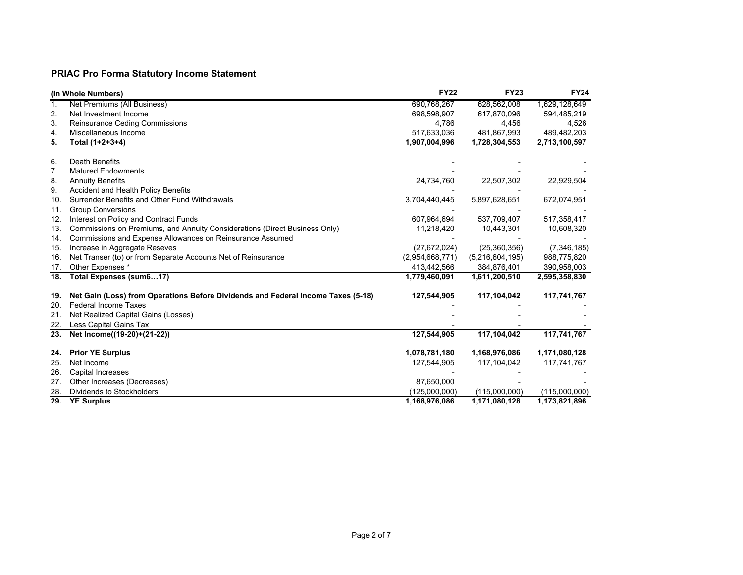# **PRIAC Pro Forma Statutory Income Statement**

|                   | (In Whole Numbers)                                                               | <b>FY22</b>     | <b>FY23</b>     | <b>FY24</b>   |
|-------------------|----------------------------------------------------------------------------------|-----------------|-----------------|---------------|
| 1.                | Net Premiums (All Business)                                                      | 690,768,267     | 628,562,008     | 1,629,128,649 |
| 2.                | Net Investment Income                                                            | 698,598,907     | 617,870,096     | 594,485,219   |
| 3.                | Reinsurance Ceding Commissions                                                   | 4,786           | 4,456           | 4,526         |
| 4.                | Miscellaneous Income                                                             | 517,633,036     | 481,867,993     | 489,482,203   |
| 5.                | Total (1+2+3+4)                                                                  | 1,907,004,996   | 1,728,304,553   | 2,713,100,597 |
| 6.                | Death Benefits                                                                   |                 |                 |               |
| 7.                | <b>Matured Endowments</b>                                                        |                 |                 |               |
| 8.                | <b>Annuity Benefits</b>                                                          | 24,734,760      | 22,507,302      | 22,929,504    |
| 9.                | Accident and Health Policy Benefits                                              |                 |                 |               |
| 10.               | Surrender Benefits and Other Fund Withdrawals                                    | 3,704,440,445   | 5,897,628,651   | 672,074,951   |
| 11.               | <b>Group Conversions</b>                                                         |                 |                 |               |
| 12.               | Interest on Policy and Contract Funds                                            | 607,964,694     | 537,709,407     | 517,358,417   |
| 13.               | Commissions on Premiums, and Annuity Considerations (Direct Business Only)       | 11,218,420      | 10,443,301      | 10,608,320    |
| 14.               | Commissions and Expense Allowances on Reinsurance Assumed                        |                 |                 |               |
| 15.               | Increase in Aggregate Reseves                                                    | (27, 672, 024)  | (25, 360, 356)  | (7, 346, 185) |
| 16.               | Net Transer (to) or from Separate Accounts Net of Reinsurance                    | (2,954,668,771) | (5,216,604,195) | 988,775,820   |
| 17.               | Other Expenses *                                                                 | 413,442,566     | 384,876,401     | 390,958,003   |
| $\overline{18}$ . | Total Expenses (sum617)                                                          | 1,779,460,091   | 1,611,200,510   | 2,595,358,830 |
| 19.               | Net Gain (Loss) from Operations Before Dividends and Federal Income Taxes (5-18) | 127,544,905     | 117,104,042     | 117,741,767   |
| 20.               | <b>Federal Income Taxes</b>                                                      |                 |                 |               |
| 21.               | Net Realized Capital Gains (Losses)                                              |                 |                 |               |
| 22.               | Less Capital Gains Tax                                                           |                 |                 |               |
| $\overline{23}$ . | Net Income((19-20)+(21-22))                                                      | 127,544,905     | 117,104,042     | 117,741,767   |
| 24.               | <b>Prior YE Surplus</b>                                                          | 1,078,781,180   | 1,168,976,086   | 1,171,080,128 |
| 25.               | Net Income                                                                       | 127,544,905     | 117,104,042     | 117,741,767   |
| 26.               | Capital Increases                                                                |                 |                 |               |
| 27.               | Other Increases (Decreases)                                                      | 87,650,000      |                 |               |
| 28.               | Dividends to Stockholders                                                        | (125,000,000)   | (115,000,000)   | (115,000,000) |
| $\overline{29}$ . | <b>YE Surplus</b>                                                                | 1,168,976,086   | 1,171,080,128   | 1,173,821,896 |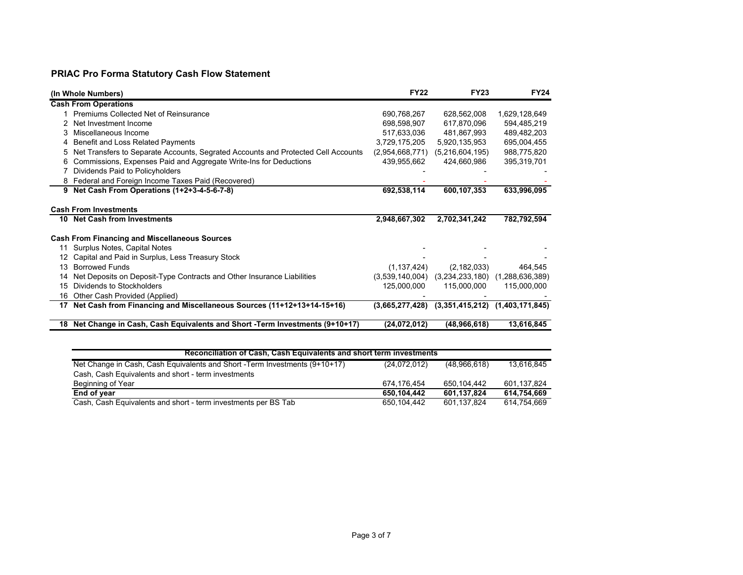# **PRIAC Pro Forma Statutory Cash Flow Statement**

|    | (In Whole Numbers)                                                                | <b>FY22</b>     | <b>FY23</b>     | <b>FY24</b>     |
|----|-----------------------------------------------------------------------------------|-----------------|-----------------|-----------------|
|    | <b>Cash From Operations</b>                                                       |                 |                 |                 |
|    | Premiums Collected Net of Reinsurance                                             | 690,768,267     | 628,562,008     | 1,629,128,649   |
|    | Net Investment Income                                                             | 698,598,907     | 617,870,096     | 594,485,219     |
| 3  | Miscellaneous Income                                                              | 517,633,036     | 481,867,993     | 489,482,203     |
| 4  | Benefit and Loss Related Payments                                                 | 3,729,175,205   | 5,920,135,953   | 695,004,455     |
| 5  | Net Transfers to Separate Accounts, Segrated Accounts and Protected Cell Accounts | (2,954,668,771) | (5,216,604,195) | 988,775,820     |
| 6  | Commissions, Expenses Paid and Aggregate Write-Ins for Deductions                 | 439,955,662     | 424,660,986     | 395,319,701     |
|    | Dividends Paid to Policyholders                                                   |                 |                 |                 |
| 8  | Federal and Foreign Income Taxes Paid (Recovered)                                 |                 |                 |                 |
|    | 9 Net Cash From Operations (1+2+3-4-5-6-7-8)                                      | 692,538,114     | 600,107,353     | 633,996,095     |
|    |                                                                                   |                 |                 |                 |
|    | <b>Cash From Investments</b>                                                      |                 |                 |                 |
| 10 | <b>Net Cash from Investments</b>                                                  | 2,948,667,302   | 2,702,341,242   | 782,792,594     |
|    | <b>Cash From Financing and Miscellaneous Sources</b>                              |                 |                 |                 |
| 11 | Surplus Notes, Capital Notes                                                      |                 |                 |                 |
|    | Capital and Paid in Surplus, Less Treasury Stock                                  |                 |                 |                 |
| 13 | <b>Borrowed Funds</b>                                                             | (1, 137, 424)   | (2, 182, 033)   | 464,545         |
| 14 | Net Deposits on Deposit-Type Contracts and Other Insurance Liabilities            | (3,539,140,004) | (3,234,233,180) | (1,288,636,389) |
| 15 | Dividends to Stockholders                                                         | 125,000,000     | 115,000,000     | 115,000,000     |
| 16 | Other Cash Provided (Applied)                                                     |                 |                 |                 |
| 17 | Net Cash from Financing and Miscellaneous Sources (11+12+13+14-15+16)             | (3,665,277,428) | (3,351,415,212) | (1,403,171,845) |
| 18 | Net Change in Cash, Cash Equivalents and Short -Term Investments (9+10+17)        | (24,072,012)    | (48,966,618)    | 13,616,845      |

| Reconciliation of Cash, Cash Equivalents and short term investments         |              |              |             |  |  |  |  |  |  |  |  |
|-----------------------------------------------------------------------------|--------------|--------------|-------------|--|--|--|--|--|--|--|--|
| Net Change in Cash, Cash Equivalents and Short - Term Investments (9+10+17) | (24,072,012) | (48.966.618) | 13.616.845  |  |  |  |  |  |  |  |  |
| Cash, Cash Equivalents and short - term investments                         |              |              |             |  |  |  |  |  |  |  |  |
| Beginning of Year                                                           | 674 176 454  | 650.104.442  | 601.137.824 |  |  |  |  |  |  |  |  |
| End of year                                                                 | 650.104.442  | 601.137.824  | 614.754.669 |  |  |  |  |  |  |  |  |
| Cash, Cash Equivalents and short - term investments per BS Tab              | 650.104.442  | 601.137.824  | 614.754.669 |  |  |  |  |  |  |  |  |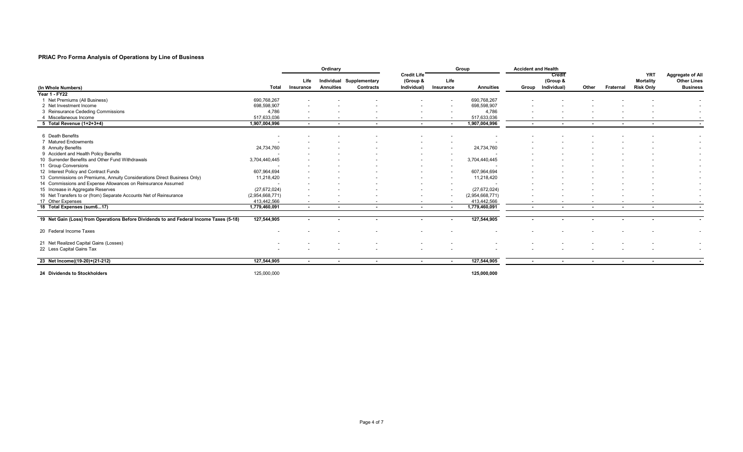#### **PRIAC Pro Forma Analysis of Operations by Line of Business**

|                                                                                        |                 | Ordinary                 |                          |                                              |                                               |                          | Group            | <b>Accident and Health</b> |                                         |        |                          |                                                    |                                                           |
|----------------------------------------------------------------------------------------|-----------------|--------------------------|--------------------------|----------------------------------------------|-----------------------------------------------|--------------------------|------------------|----------------------------|-----------------------------------------|--------|--------------------------|----------------------------------------------------|-----------------------------------------------------------|
| (In Whole Numbers)                                                                     | Total           | Life<br>Insurance        | <b>Annuities</b>         | Individual Supplementary<br><b>Contracts</b> | <b>Credit Life</b><br>(Group &<br>Individual) | Life<br>Insurance        | <b>Annuities</b> |                            | Credit<br>(Group &<br>Group Individual) | Other  | Fraternal                | <b>YRT</b><br><b>Mortality</b><br><b>Risk Only</b> | Aggregate of All<br><b>Other Lines</b><br><b>Business</b> |
| <b>Year 1 - FY22</b>                                                                   |                 |                          |                          |                                              |                                               |                          |                  |                            |                                         |        |                          |                                                    |                                                           |
| Net Premiums (All Business)                                                            | 690,768,267     |                          |                          |                                              |                                               |                          | 690,768,267      |                            |                                         |        |                          |                                                    |                                                           |
| 2 Net Investment Income                                                                | 698,598,907     |                          |                          |                                              |                                               |                          | 698,598,907      |                            |                                         |        |                          |                                                    |                                                           |
| 3 Reinsurance Cededing Commissions                                                     | 4,786           |                          |                          |                                              |                                               |                          | 4,786            |                            |                                         |        |                          |                                                    |                                                           |
| 4 Miscellaneous Income                                                                 | 517,633,036     | $\sim$                   |                          |                                              |                                               |                          | 517,633,036      |                            |                                         |        |                          |                                                    |                                                           |
| 5 Total Revenue (1+2+3+4)                                                              | 1,907,004,996   | $\sim$                   |                          | $\overline{\phantom{a}}$                     | $\sim$                                        | $\sim$                   | 1,907,004,996    | $\overline{\phantom{a}}$   | $\sim$                                  | $\sim$ | $\overline{\phantom{a}}$ | $\sim$                                             |                                                           |
| 6 Death Benefits                                                                       |                 |                          |                          |                                              |                                               |                          |                  |                            |                                         |        |                          |                                                    |                                                           |
| 7 Matured Endowments                                                                   |                 |                          |                          |                                              |                                               |                          |                  |                            |                                         |        |                          |                                                    |                                                           |
| 8 Annuity Benefits                                                                     | 24,734,760      |                          |                          |                                              |                                               |                          | 24,734,760       |                            |                                         |        |                          |                                                    |                                                           |
| 9 Accident and Health Policy Benefits                                                  |                 |                          |                          |                                              |                                               |                          |                  |                            |                                         |        |                          |                                                    |                                                           |
| 10 Surrender Benefits and Other Fund Withdrawals                                       | 3,704,440,445   |                          |                          |                                              |                                               |                          | 3,704,440,445    |                            |                                         |        |                          |                                                    |                                                           |
| 11 Group Conversions                                                                   |                 |                          |                          |                                              |                                               |                          |                  |                            |                                         |        |                          |                                                    |                                                           |
| 12 Interest Policy and Contract Funds                                                  | 607,964,694     |                          |                          |                                              |                                               |                          | 607,964,694      |                            |                                         |        |                          |                                                    |                                                           |
| 13 Commissions on Premiums, Annuity Considerations Direct Business Only)               | 11,218,420      |                          |                          |                                              |                                               |                          | 11,218,420       |                            |                                         |        |                          |                                                    |                                                           |
| 14 Commissions and Expense Allowances on Reinsurance Assumed                           |                 |                          |                          |                                              |                                               |                          |                  |                            |                                         |        |                          |                                                    |                                                           |
| 15 Increase in Aggregate Reserves                                                      | (27, 672, 024)  |                          |                          |                                              |                                               |                          | (27, 672, 024)   |                            |                                         |        |                          |                                                    |                                                           |
| 16 Net Transfers to or (from) Separate Accounts Net of Reinsurance                     | (2,954,668,771) | $\overline{\phantom{a}}$ |                          |                                              |                                               | $\overline{\phantom{a}}$ | (2,954,668,771)  |                            |                                         |        |                          |                                                    |                                                           |
| 17 Other Expenses                                                                      | 413,442,566     | $\overline{\phantom{a}}$ |                          |                                              |                                               |                          | 413,442,566      |                            |                                         |        |                          |                                                    |                                                           |
| 18 Total Expenses (sum617)                                                             | 1,779,460,091   | $\sim$                   | $\overline{\phantom{a}}$ | $\sim$                                       | $\sim$                                        | $\sim$                   | 1,779,460,091    | $\sim$                     | $\sim$                                  | $\sim$ | $\overline{\phantom{a}}$ | $\sim$                                             |                                                           |
| 19 Net Gain (Loss) from Operations Before Dividends to and Federal Income Taxes (5-18) | 127,544,905     | $\overline{\phantom{a}}$ |                          |                                              |                                               |                          | 127,544,905      |                            |                                         |        |                          |                                                    |                                                           |
| 20 Federal Income Taxes                                                                |                 |                          |                          |                                              |                                               |                          |                  |                            |                                         |        |                          |                                                    |                                                           |
| 21 Net Realized Capital Gains (Losses)                                                 |                 |                          |                          |                                              |                                               |                          |                  |                            |                                         |        |                          |                                                    |                                                           |
| 22 Less Capital Gains Tax                                                              |                 |                          |                          |                                              |                                               |                          |                  |                            |                                         |        |                          |                                                    | $\overline{\phantom{a}}$                                  |
| 23 Net Income((19-20)+(21-212)                                                         | 127,544,905     | $\sim$                   | $\sim$                   | $\sim$                                       | $\sim$                                        | $\sim$                   | 127,544,905      | $\sim$                     | $\sim$                                  | $\sim$ | $\sim$                   | $\sim$                                             |                                                           |
| 24 Dividends to Stockholders                                                           | 125,000,000     |                          |                          |                                              |                                               |                          | 125,000,000      |                            |                                         |        |                          |                                                    |                                                           |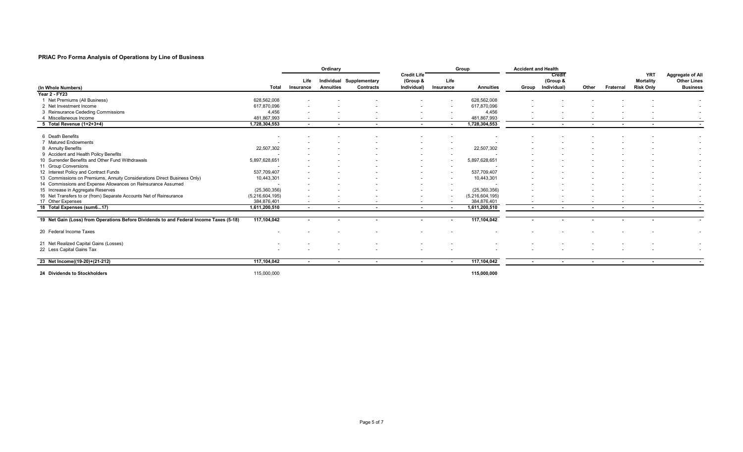#### **PRIAC Pro Forma Analysis of Operations by Line of Business**

|                                                                                        |                 | Ordinary                 |                  |                                              |                                               |                          | Group            | <b>Accident and Health</b> |                                         |                          |                          |                                                    |                                                           |
|----------------------------------------------------------------------------------------|-----------------|--------------------------|------------------|----------------------------------------------|-----------------------------------------------|--------------------------|------------------|----------------------------|-----------------------------------------|--------------------------|--------------------------|----------------------------------------------------|-----------------------------------------------------------|
| (In Whole Numbers)                                                                     | Total           | Life<br>Insurance        | <b>Annuities</b> | Individual Supplementary<br><b>Contracts</b> | <b>Credit Life</b><br>(Group &<br>Individual) | Life<br>Insurance        | <b>Annuities</b> |                            | Credit<br>(Group &<br>Group Individual) | Other                    | Fraternal                | <b>YRT</b><br><b>Mortality</b><br><b>Risk Only</b> | Aggregate of All<br><b>Other Lines</b><br><b>Business</b> |
| Year 2 - FY23                                                                          |                 |                          |                  |                                              |                                               |                          |                  |                            |                                         |                          |                          |                                                    |                                                           |
| Net Premiums (All Business)                                                            | 628,562,008     |                          |                  |                                              |                                               |                          | 628,562,008      |                            |                                         |                          |                          |                                                    |                                                           |
| 2 Net Investment Income                                                                | 617,870,096     |                          |                  |                                              |                                               |                          | 617,870,096      |                            |                                         |                          |                          |                                                    |                                                           |
| 3 Reinsurance Cededing Commissions                                                     | 4,456           |                          |                  |                                              |                                               |                          | 4,456            |                            |                                         |                          |                          |                                                    | $\overline{\phantom{a}}$                                  |
| Miscellaneous Income<br>4                                                              | 481,867,993     | $\overline{\phantom{a}}$ |                  |                                              |                                               |                          | 481,867,993      |                            |                                         |                          |                          |                                                    |                                                           |
| 5 Total Revenue (1+2+3+4)                                                              | 1,728,304,553   | $\sim$                   | $\overline{a}$   | $\overline{a}$                               | $\sim$                                        | $\overline{\phantom{a}}$ | 1,728,304,553    | $\overline{\phantom{a}}$   | $\sim$                                  | $\sim$                   | $\overline{\phantom{a}}$ | $\overline{a}$                                     |                                                           |
| 6 Death Benefits                                                                       |                 |                          |                  |                                              |                                               |                          |                  |                            |                                         |                          |                          |                                                    |                                                           |
| 7 Matured Endowments                                                                   |                 |                          |                  |                                              |                                               |                          |                  |                            |                                         |                          |                          |                                                    |                                                           |
| 8 Annuity Benefits                                                                     | 22,507,302      |                          |                  |                                              |                                               |                          | 22,507,302       |                            |                                         |                          |                          |                                                    |                                                           |
| 9 Accident and Health Policy Benefits                                                  |                 |                          |                  |                                              |                                               |                          |                  |                            |                                         |                          |                          |                                                    |                                                           |
| 10 Surrender Benefits and Other Fund Withdrawals                                       | 5,897,628,651   |                          |                  |                                              |                                               |                          | 5,897,628,651    |                            |                                         |                          |                          |                                                    |                                                           |
| 11 Group Conversions                                                                   |                 |                          |                  |                                              |                                               |                          |                  |                            |                                         |                          |                          |                                                    |                                                           |
| 12 Interest Policy and Contract Funds                                                  | 537,709,407     |                          |                  |                                              |                                               |                          | 537,709,407      |                            |                                         |                          |                          |                                                    |                                                           |
| 13 Commissions on Premiums, Annuity Considerations Direct Business Only)               | 10,443,301      |                          |                  |                                              |                                               |                          | 10,443,301       |                            |                                         |                          |                          |                                                    |                                                           |
| 14 Commissions and Expense Allowances on Reinsurance Assumed                           |                 |                          |                  |                                              |                                               |                          |                  |                            |                                         |                          |                          |                                                    |                                                           |
| 15 Increase in Aggregate Reserves                                                      | (25, 360, 356)  |                          |                  |                                              |                                               |                          | (25, 360, 356)   |                            |                                         |                          |                          |                                                    |                                                           |
| 16 Net Transfers to or (from) Separate Accounts Net of Reinsurance                     | (5,216,604,195) | $\overline{\phantom{a}}$ |                  |                                              |                                               | $\overline{\phantom{a}}$ | (5,216,604,195)  |                            |                                         |                          |                          |                                                    | $\overline{\phantom{a}}$                                  |
| 17 Other Expenses                                                                      | 384,876,401     | $\sim$                   | $\sim$           | $\sim$                                       | $\sim$                                        | $\sim$                   | 384,876,401      | $\overline{\phantom{0}}$   |                                         | $\sim$                   |                          |                                                    |                                                           |
| 18 Total Expenses (sum617)                                                             | 1,611,200,510   | $\sim$                   | $\sim$           | $\sim$                                       | $\sim$                                        | $\sim$                   | 1,611,200,510    | $\sim$                     | $\sim$                                  | $\overline{\phantom{a}}$ | $\overline{\phantom{a}}$ | $\sim$                                             |                                                           |
| 19 Net Gain (Loss) from Operations Before Dividends to and Federal Income Taxes (5-18) | 117,104,042     | $\blacksquare$           |                  |                                              |                                               |                          | 117,104,042      |                            |                                         |                          |                          |                                                    |                                                           |
| 20 Federal Income Taxes                                                                |                 |                          |                  |                                              |                                               |                          |                  |                            |                                         |                          |                          |                                                    |                                                           |
| 21 Net Realized Capital Gains (Losses)                                                 |                 |                          |                  |                                              |                                               |                          |                  |                            |                                         |                          |                          |                                                    |                                                           |
| 22 Less Capital Gains Tax                                                              |                 |                          |                  |                                              |                                               |                          |                  |                            |                                         |                          |                          |                                                    | $\overline{\phantom{0}}$<br>$\overline{\phantom{a}}$      |
|                                                                                        |                 |                          |                  |                                              |                                               |                          |                  |                            |                                         |                          |                          |                                                    |                                                           |
| 23 Net Income((19-20)+(21-212)                                                         | 117,104,042     | $\sim$                   | $\sim$           | $\sim$                                       | $\sim$                                        | $\sim$                   | 117,104,042      | $\sim$                     | $\sim$                                  | $\sim$                   | $\sim$                   | $\sim$                                             |                                                           |
| 24 Dividends to Stockholders                                                           | 115,000,000     |                          |                  |                                              |                                               |                          | 115,000,000      |                            |                                         |                          |                          |                                                    |                                                           |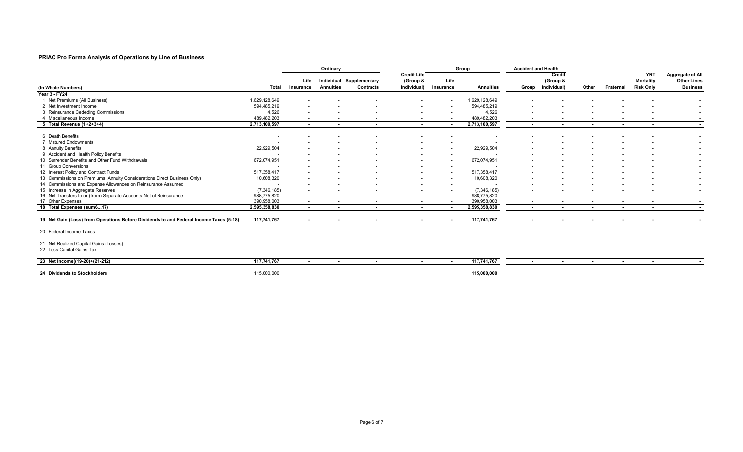#### **PRIAC Pro Forma Analysis of Operations by Line of Business**

|                                                                                        |               |                          | Ordinary                 |                                              |                                               |                          | Group                    | <b>Accident and Health</b> |                                         |                          |                          |                                                    |                                                                  |
|----------------------------------------------------------------------------------------|---------------|--------------------------|--------------------------|----------------------------------------------|-----------------------------------------------|--------------------------|--------------------------|----------------------------|-----------------------------------------|--------------------------|--------------------------|----------------------------------------------------|------------------------------------------------------------------|
| (In Whole Numbers)                                                                     | Total         | Life<br>Insurance        | <b>Annuities</b>         | Individual Supplementary<br><b>Contracts</b> | <b>Credit Life</b><br>(Group &<br>Individual) | Life<br>Insurance        | <b>Annuities</b>         |                            | Credit<br>(Group &<br>Group Individual) | Other                    | Fraternal                | <b>YRT</b><br><b>Mortality</b><br><b>Risk Only</b> | <b>Aggregate of All</b><br><b>Other Lines</b><br><b>Business</b> |
| Year 3 - FY24                                                                          |               |                          |                          |                                              |                                               |                          |                          |                            |                                         |                          |                          |                                                    |                                                                  |
| 1 Net Premiums (All Business)                                                          | 1,629,128,649 |                          |                          |                                              |                                               |                          | 1,629,128,649            |                            |                                         |                          |                          |                                                    |                                                                  |
| 2 Net Investment Income                                                                | 594,485,219   |                          |                          |                                              |                                               |                          | 594,485,219              |                            |                                         |                          |                          |                                                    |                                                                  |
| 3 Reinsurance Cededing Commissions                                                     | 4,526         |                          |                          |                                              |                                               |                          | 4,526                    |                            |                                         |                          |                          |                                                    | $\overline{\phantom{a}}$                                         |
| Miscellaneous Income                                                                   | 489,482,203   | $\overline{\phantom{a}}$ | $\overline{\phantom{a}}$ | $\sim$                                       | $\sim$                                        | $\overline{\phantom{a}}$ | 489,482,203              | $\overline{\phantom{a}}$   |                                         | $\overline{\phantom{a}}$ |                          |                                                    | $\sim$                                                           |
| 5 Total Revenue (1+2+3+4)                                                              | 2,713,100,597 | $\sim$                   | $\blacksquare$           | $\sim$                                       | $\sim$                                        | $\overline{\phantom{a}}$ | 2,713,100,597            | $\overline{\phantom{a}}$   | $\overline{a}$                          | $\blacksquare$           | $\overline{\phantom{a}}$ | $\blacksquare$                                     | $\overline{\phantom{a}}$                                         |
| 6 Death Benefits                                                                       |               |                          |                          |                                              |                                               |                          |                          |                            |                                         |                          |                          |                                                    |                                                                  |
| 7 Matured Endowments                                                                   |               |                          |                          |                                              |                                               |                          |                          |                            |                                         |                          |                          |                                                    |                                                                  |
| 8 Annuity Benefits                                                                     | 22,929,504    |                          |                          |                                              |                                               |                          | 22,929,504               |                            |                                         |                          |                          |                                                    |                                                                  |
| 9 Accident and Health Policy Benefits                                                  |               |                          |                          |                                              |                                               |                          |                          |                            |                                         |                          |                          |                                                    |                                                                  |
| 10 Surrender Benefits and Other Fund Withdrawals                                       | 672,074,951   |                          |                          |                                              |                                               | $\overline{\phantom{a}}$ | 672,074,951              |                            |                                         |                          |                          |                                                    |                                                                  |
| 11 Group Conversions                                                                   |               |                          |                          |                                              |                                               |                          |                          |                            |                                         |                          |                          |                                                    |                                                                  |
| 12 Interest Policy and Contract Funds                                                  | 517,358,417   |                          |                          |                                              |                                               |                          | 517,358,417              |                            |                                         |                          |                          |                                                    |                                                                  |
| 13 Commissions on Premiums, Annuity Considerations Direct Business Only)               | 10,608,320    |                          |                          |                                              |                                               |                          | 10,608,320               |                            |                                         |                          |                          |                                                    |                                                                  |
| 14 Commissions and Expense Allowances on Reinsurance Assumed                           |               |                          |                          |                                              |                                               |                          |                          |                            |                                         |                          |                          |                                                    |                                                                  |
| 15 Increase in Aggregate Reserves                                                      | (7,346,185)   |                          |                          |                                              |                                               |                          | (7, 346, 185)            |                            |                                         |                          |                          |                                                    |                                                                  |
| 16 Net Transfers to or (from) Separate Accounts Net of Reinsurance                     | 988,775,820   |                          |                          |                                              |                                               |                          | 988,775,820              |                            |                                         |                          |                          |                                                    | $\overline{\phantom{a}}$                                         |
| 17 Other Expenses                                                                      | 390,958,003   | $\overline{\phantom{a}}$ |                          |                                              |                                               |                          | 390,958,003              |                            |                                         |                          |                          |                                                    |                                                                  |
| 18 Total Expenses (sum617)                                                             | 2,595,358,830 | $\sim$                   | $\sim$                   | $\sim$                                       | $\sim$                                        | $\sim$                   | 2,595,358,830            | $\sim$                     | $\sim$                                  | $\sim$                   | $\sim$                   | $\sim$                                             |                                                                  |
| 19 Net Gain (Loss) from Operations Before Dividends to and Federal Income Taxes (5-18) | 117,741,767   |                          |                          |                                              |                                               |                          | 117,741,767              |                            |                                         |                          |                          |                                                    |                                                                  |
|                                                                                        |               | $\blacksquare$           |                          |                                              |                                               | $\overline{\phantom{a}}$ |                          |                            |                                         |                          |                          |                                                    |                                                                  |
| 20 Federal Income Taxes                                                                | $\sim$        | $\overline{\phantom{a}}$ |                          |                                              |                                               |                          | $\overline{\phantom{a}}$ |                            |                                         |                          |                          |                                                    | $\overline{\phantom{a}}$                                         |
| 21 Net Realized Capital Gains (Losses)                                                 |               |                          |                          |                                              |                                               |                          |                          |                            |                                         |                          |                          |                                                    |                                                                  |
| 22 Less Capital Gains Tax                                                              |               |                          |                          |                                              |                                               |                          |                          |                            |                                         |                          |                          |                                                    |                                                                  |
| 23 Net Income((19-20)+(21-212)                                                         | 117,741,767   | $\sim$                   | $\sim$                   | $\sim$                                       | $\sim$                                        | $\sim$                   | 117,741,767              | $\sim$                     | $\sim$                                  | $\sim$                   | $\sim$                   | $\sim$                                             |                                                                  |
| 24 Dividends to Stockholders                                                           | 115,000,000   |                          |                          |                                              |                                               |                          | 115,000,000              |                            |                                         |                          |                          |                                                    |                                                                  |